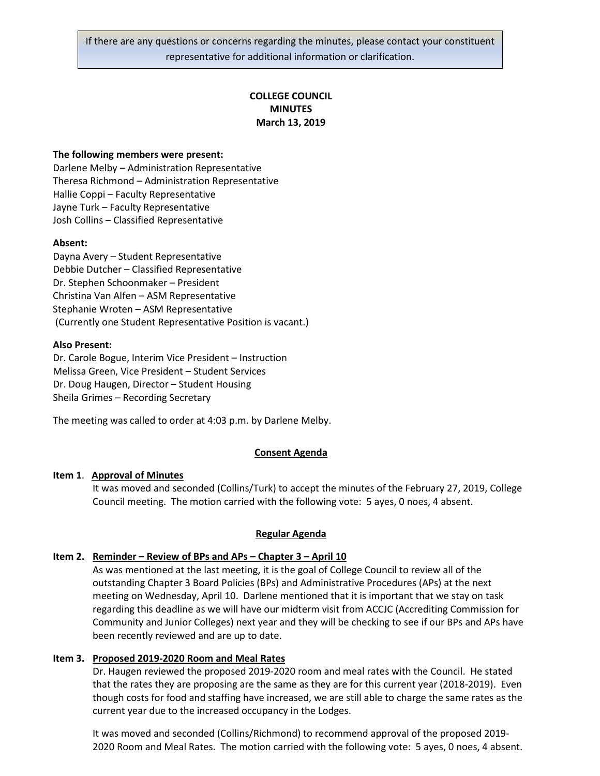# **COLLEGE COUNCIL MINUTES March 13, 2019**

## **The following members were present:**

Darlene Melby – Administration Representative Theresa Richmond – Administration Representative Hallie Coppi – Faculty Representative Jayne Turk – Faculty Representative Josh Collins – Classified Representative

## **Absent:**

Dayna Avery – Student Representative Debbie Dutcher – Classified Representative Dr. Stephen Schoonmaker – President Christina Van Alfen – ASM Representative Stephanie Wroten – ASM Representative (Currently one Student Representative Position is vacant.)

## **Also Present:**

Dr. Carole Bogue, Interim Vice President – Instruction Melissa Green, Vice President – Student Services Dr. Doug Haugen, Director – Student Housing Sheila Grimes – Recording Secretary

The meeting was called to order at 4:03 p.m. by Darlene Melby.

# **Consent Agenda**

# **Item 1**. **Approval of Minutes**

It was moved and seconded (Collins/Turk) to accept the minutes of the February 27, 2019, College Council meeting. The motion carried with the following vote: 5 ayes, 0 noes, 4 absent.

## **Regular Agenda**

# **Item 2. Reminder – Review of BPs and APs – Chapter 3 – April 10**

As was mentioned at the last meeting, it is the goal of College Council to review all of the outstanding Chapter 3 Board Policies (BPs) and Administrative Procedures (APs) at the next meeting on Wednesday, April 10. Darlene mentioned that it is important that we stay on task regarding this deadline as we will have our midterm visit from ACCJC (Accrediting Commission for Community and Junior Colleges) next year and they will be checking to see if our BPs and APs have been recently reviewed and are up to date.

## **Item 3. Proposed 2019-2020 Room and Meal Rates**

Dr. Haugen reviewed the proposed 2019-2020 room and meal rates with the Council. He stated that the rates they are proposing are the same as they are for this current year (2018-2019). Even though costs for food and staffing have increased, we are still able to charge the same rates as the current year due to the increased occupancy in the Lodges.

It was moved and seconded (Collins/Richmond) to recommend approval of the proposed 2019- 2020 Room and Meal Rates. The motion carried with the following vote: 5 ayes, 0 noes, 4 absent.